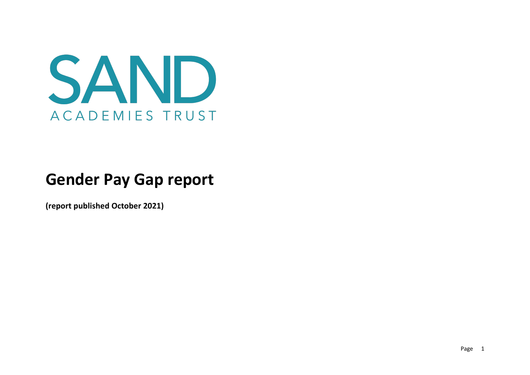

# **Gender Pay Gap report**

**(report published October 2021)**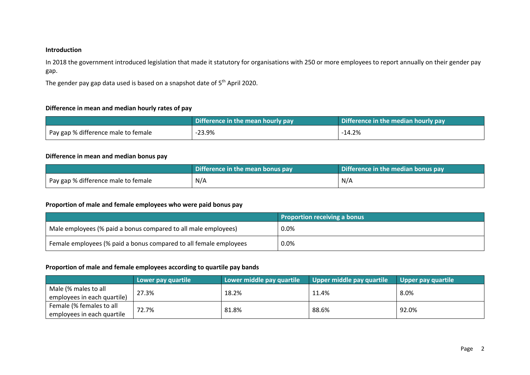### **Introduction**

In 2018 the government introduced legislation that made it statutory for organisations with 250 or more employees to report annually on their gender pay gap.

The gender pay gap data used is based on a snapshot date of 5<sup>th</sup> April 2020.

#### **Difference in mean and median hourly rates of pay**

|                                     | Difference in the mean hourly pay | Difference in the median hourly pay |
|-------------------------------------|-----------------------------------|-------------------------------------|
| Pay gap % difference male to female | $-23.9%$                          | $-14.2%$                            |

## **Difference in mean and median bonus pay**

|                                     | Difference in the mean bonus pay | Difference in the median bonus pay |  |
|-------------------------------------|----------------------------------|------------------------------------|--|
| Pay gap % difference male to female | N/A                              | N/A                                |  |

#### **Proportion of male and female employees who were paid bonus pay**

|                                                                   | <b>Proportion receiving a bonus</b> |
|-------------------------------------------------------------------|-------------------------------------|
| Male employees (% paid a bonus compared to all male employees)    | $0.0\%$                             |
| Female employees (% paid a bonus compared to all female employees | 0.0%                                |

## **Proportion of male and female employees according to quartile pay bands**

|                             | Lower pay quartile | Lower middle pay quartile | Upper middle pay quartile | Upper pay quartile |
|-----------------------------|--------------------|---------------------------|---------------------------|--------------------|
| Male (% males to all        | 27.3%              | 18.2%                     | 11.4%                     | $8.0\%$            |
| employees in each quartile) |                    |                           |                           |                    |
| Female (% females to all    | 72.7%              | 81.8%                     | 88.6%                     | 92.0%              |
| employees in each quartile  |                    |                           |                           |                    |